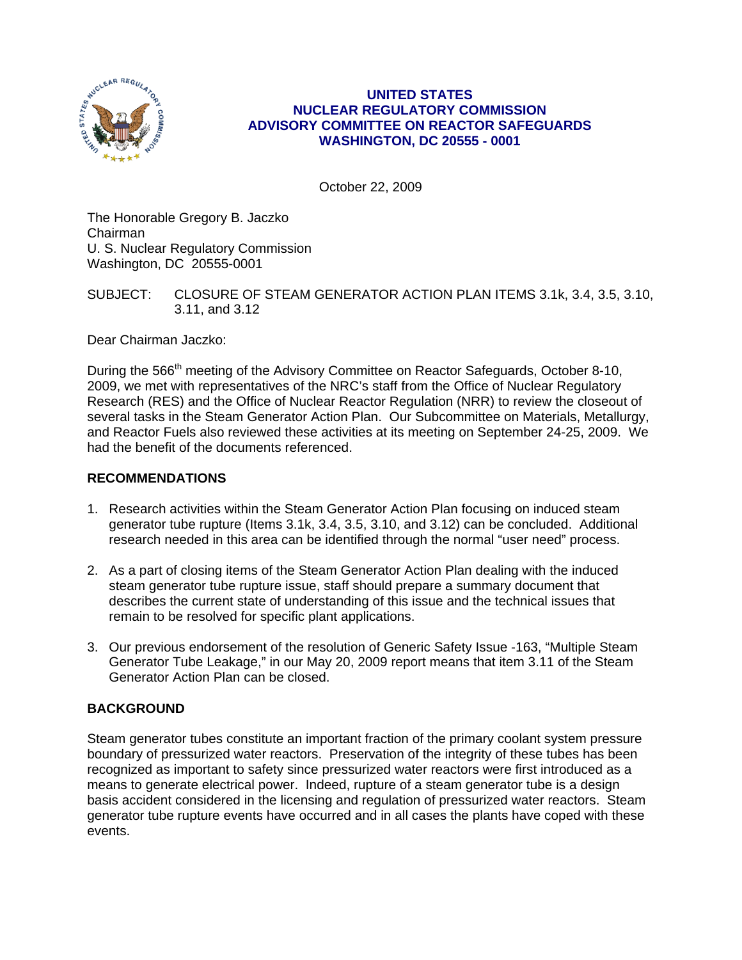

## **UNITED STATES NUCLEAR REGULATORY COMMISSION ADVISORY COMMITTEE ON REACTOR SAFEGUARDS WASHINGTON, DC 20555 - 0001**

October 22, 2009

The Honorable Gregory B. Jaczko Chairman U. S. Nuclear Regulatory Commission Washington, DC 20555-0001

# SUBJECT: CLOSURE OF STEAM GENERATOR ACTION PLAN ITEMS 3.1k, 3.4, 3.5, 3.10, 3.11, and 3.12

Dear Chairman Jaczko:

During the 566<sup>th</sup> meeting of the Advisory Committee on Reactor Safeguards, October 8-10, 2009, we met with representatives of the NRC's staff from the Office of Nuclear Regulatory Research (RES) and the Office of Nuclear Reactor Regulation (NRR) to review the closeout of several tasks in the Steam Generator Action Plan. Our Subcommittee on Materials, Metallurgy, and Reactor Fuels also reviewed these activities at its meeting on September 24-25, 2009. We had the benefit of the documents referenced.

# **RECOMMENDATIONS**

- 1. Research activities within the Steam Generator Action Plan focusing on induced steam generator tube rupture (Items 3.1k, 3.4, 3.5, 3.10, and 3.12) can be concluded. Additional research needed in this area can be identified through the normal "user need" process.
- 2. As a part of closing items of the Steam Generator Action Plan dealing with the induced steam generator tube rupture issue, staff should prepare a summary document that describes the current state of understanding of this issue and the technical issues that remain to be resolved for specific plant applications.
- 3. Our previous endorsement of the resolution of Generic Safety Issue -163, "Multiple Steam Generator Tube Leakage," in our May 20, 2009 report means that item 3.11 of the Steam Generator Action Plan can be closed.

# **BACKGROUND**

Steam generator tubes constitute an important fraction of the primary coolant system pressure boundary of pressurized water reactors. Preservation of the integrity of these tubes has been recognized as important to safety since pressurized water reactors were first introduced as a means to generate electrical power. Indeed, rupture of a steam generator tube is a design basis accident considered in the licensing and regulation of pressurized water reactors. Steam generator tube rupture events have occurred and in all cases the plants have coped with these events.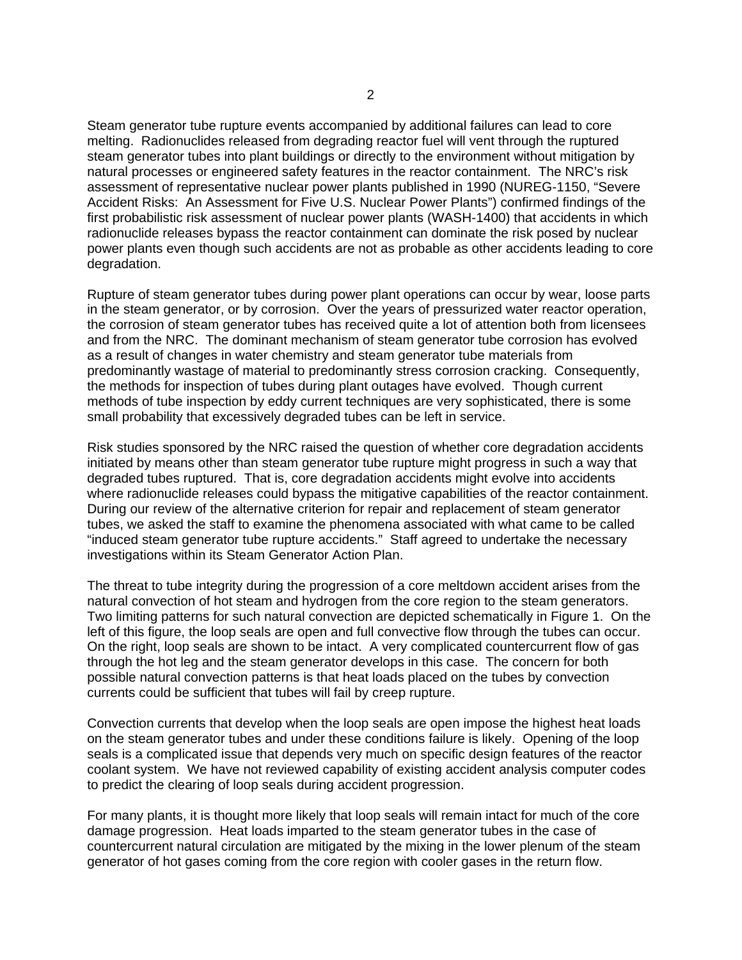Steam generator tube rupture events accompanied by additional failures can lead to core melting. Radionuclides released from degrading reactor fuel will vent through the ruptured steam generator tubes into plant buildings or directly to the environment without mitigation by natural processes or engineered safety features in the reactor containment. The NRC's risk assessment of representative nuclear power plants published in 1990 (NUREG-1150, "Severe Accident Risks: An Assessment for Five U.S. Nuclear Power Plants") confirmed findings of the first probabilistic risk assessment of nuclear power plants (WASH-1400) that accidents in which radionuclide releases bypass the reactor containment can dominate the risk posed by nuclear power plants even though such accidents are not as probable as other accidents leading to core degradation.

Rupture of steam generator tubes during power plant operations can occur by wear, loose parts in the steam generator, or by corrosion. Over the years of pressurized water reactor operation, the corrosion of steam generator tubes has received quite a lot of attention both from licensees and from the NRC. The dominant mechanism of steam generator tube corrosion has evolved as a result of changes in water chemistry and steam generator tube materials from predominantly wastage of material to predominantly stress corrosion cracking. Consequently, the methods for inspection of tubes during plant outages have evolved. Though current methods of tube inspection by eddy current techniques are very sophisticated, there is some small probability that excessively degraded tubes can be left in service.

Risk studies sponsored by the NRC raised the question of whether core degradation accidents initiated by means other than steam generator tube rupture might progress in such a way that degraded tubes ruptured. That is, core degradation accidents might evolve into accidents where radionuclide releases could bypass the mitigative capabilities of the reactor containment. During our review of the alternative criterion for repair and replacement of steam generator tubes, we asked the staff to examine the phenomena associated with what came to be called "induced steam generator tube rupture accidents." Staff agreed to undertake the necessary investigations within its Steam Generator Action Plan.

The threat to tube integrity during the progression of a core meltdown accident arises from the natural convection of hot steam and hydrogen from the core region to the steam generators. Two limiting patterns for such natural convection are depicted schematically in Figure 1. On the left of this figure, the loop seals are open and full convective flow through the tubes can occur. On the right, loop seals are shown to be intact. A very complicated countercurrent flow of gas through the hot leg and the steam generator develops in this case. The concern for both possible natural convection patterns is that heat loads placed on the tubes by convection currents could be sufficient that tubes will fail by creep rupture.

Convection currents that develop when the loop seals are open impose the highest heat loads on the steam generator tubes and under these conditions failure is likely. Opening of the loop seals is a complicated issue that depends very much on specific design features of the reactor coolant system. We have not reviewed capability of existing accident analysis computer codes to predict the clearing of loop seals during accident progression.

For many plants, it is thought more likely that loop seals will remain intact for much of the core damage progression. Heat loads imparted to the steam generator tubes in the case of countercurrent natural circulation are mitigated by the mixing in the lower plenum of the steam generator of hot gases coming from the core region with cooler gases in the return flow.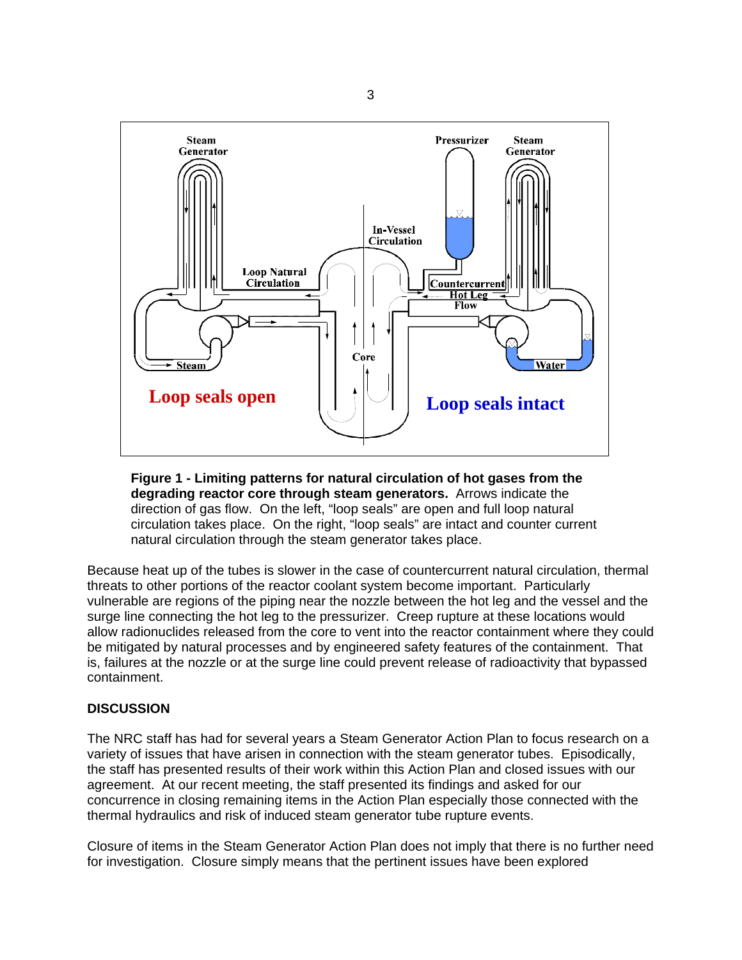

**Figure 1 - Limiting patterns for natural circulation of hot gases from the degrading reactor core through steam generators.** Arrows indicate the direction of gas flow. On the left, "loop seals" are open and full loop natural circulation takes place. On the right, "loop seals" are intact and counter current natural circulation through the steam generator takes place.

Because heat up of the tubes is slower in the case of countercurrent natural circulation, thermal threats to other portions of the reactor coolant system become important. Particularly vulnerable are regions of the piping near the nozzle between the hot leg and the vessel and the surge line connecting the hot leg to the pressurizer. Creep rupture at these locations would allow radionuclides released from the core to vent into the reactor containment where they could be mitigated by natural processes and by engineered safety features of the containment. That is, failures at the nozzle or at the surge line could prevent release of radioactivity that bypassed containment.

#### **DISCUSSION**

The NRC staff has had for several years a Steam Generator Action Plan to focus research on a variety of issues that have arisen in connection with the steam generator tubes. Episodically, the staff has presented results of their work within this Action Plan and closed issues with our agreement. At our recent meeting, the staff presented its findings and asked for our concurrence in closing remaining items in the Action Plan especially those connected with the thermal hydraulics and risk of induced steam generator tube rupture events.

Closure of items in the Steam Generator Action Plan does not imply that there is no further need for investigation. Closure simply means that the pertinent issues have been explored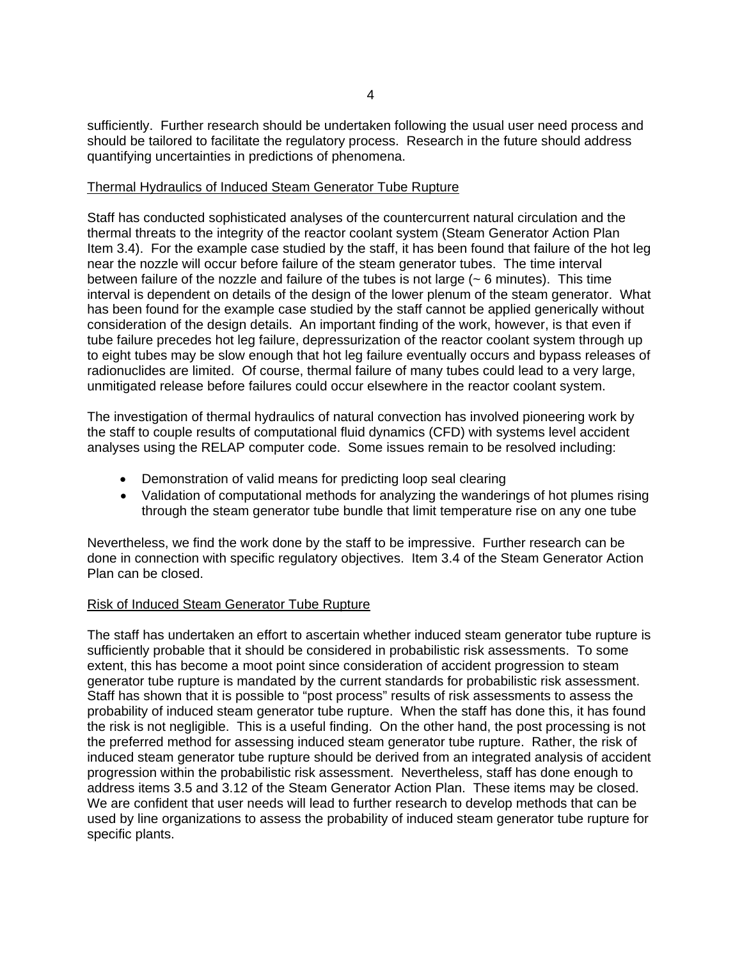sufficiently. Further research should be undertaken following the usual user need process and should be tailored to facilitate the regulatory process. Research in the future should address quantifying uncertainties in predictions of phenomena.

#### Thermal Hydraulics of Induced Steam Generator Tube Rupture

Staff has conducted sophisticated analyses of the countercurrent natural circulation and the thermal threats to the integrity of the reactor coolant system (Steam Generator Action Plan Item 3.4). For the example case studied by the staff, it has been found that failure of the hot leg near the nozzle will occur before failure of the steam generator tubes. The time interval between failure of the nozzle and failure of the tubes is not large ( $\sim$  6 minutes). This time interval is dependent on details of the design of the lower plenum of the steam generator. What has been found for the example case studied by the staff cannot be applied generically without consideration of the design details. An important finding of the work, however, is that even if tube failure precedes hot leg failure, depressurization of the reactor coolant system through up to eight tubes may be slow enough that hot leg failure eventually occurs and bypass releases of radionuclides are limited. Of course, thermal failure of many tubes could lead to a very large, unmitigated release before failures could occur elsewhere in the reactor coolant system.

The investigation of thermal hydraulics of natural convection has involved pioneering work by the staff to couple results of computational fluid dynamics (CFD) with systems level accident analyses using the RELAP computer code. Some issues remain to be resolved including:

- Demonstration of valid means for predicting loop seal clearing
- Validation of computational methods for analyzing the wanderings of hot plumes rising through the steam generator tube bundle that limit temperature rise on any one tube

Nevertheless, we find the work done by the staff to be impressive. Further research can be done in connection with specific regulatory objectives. Item 3.4 of the Steam Generator Action Plan can be closed.

#### Risk of Induced Steam Generator Tube Rupture

The staff has undertaken an effort to ascertain whether induced steam generator tube rupture is sufficiently probable that it should be considered in probabilistic risk assessments. To some extent, this has become a moot point since consideration of accident progression to steam generator tube rupture is mandated by the current standards for probabilistic risk assessment. Staff has shown that it is possible to "post process" results of risk assessments to assess the probability of induced steam generator tube rupture. When the staff has done this, it has found the risk is not negligible. This is a useful finding. On the other hand, the post processing is not the preferred method for assessing induced steam generator tube rupture. Rather, the risk of induced steam generator tube rupture should be derived from an integrated analysis of accident progression within the probabilistic risk assessment. Nevertheless, staff has done enough to address items 3.5 and 3.12 of the Steam Generator Action Plan. These items may be closed. We are confident that user needs will lead to further research to develop methods that can be used by line organizations to assess the probability of induced steam generator tube rupture for specific plants.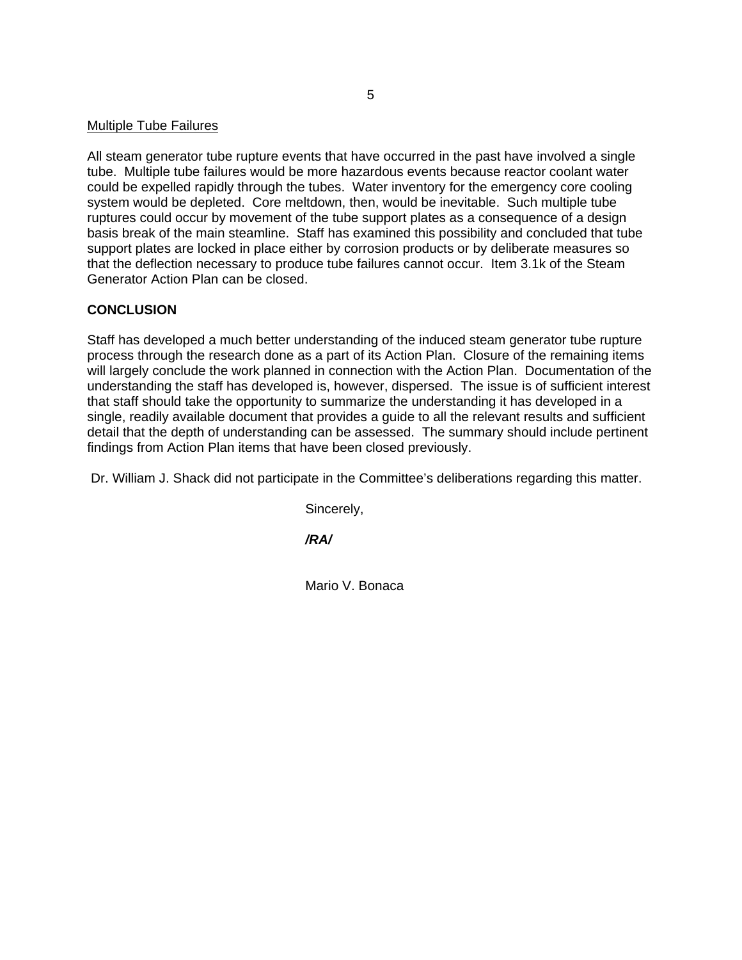#### Multiple Tube Failures

All steam generator tube rupture events that have occurred in the past have involved a single tube. Multiple tube failures would be more hazardous events because reactor coolant water could be expelled rapidly through the tubes. Water inventory for the emergency core cooling system would be depleted. Core meltdown, then, would be inevitable. Such multiple tube ruptures could occur by movement of the tube support plates as a consequence of a design basis break of the main steamline. Staff has examined this possibility and concluded that tube support plates are locked in place either by corrosion products or by deliberate measures so that the deflection necessary to produce tube failures cannot occur. Item 3.1k of the Steam Generator Action Plan can be closed.

## **CONCLUSION**

Staff has developed a much better understanding of the induced steam generator tube rupture process through the research done as a part of its Action Plan. Closure of the remaining items will largely conclude the work planned in connection with the Action Plan. Documentation of the understanding the staff has developed is, however, dispersed. The issue is of sufficient interest that staff should take the opportunity to summarize the understanding it has developed in a single, readily available document that provides a guide to all the relevant results and sufficient detail that the depth of understanding can be assessed. The summary should include pertinent findings from Action Plan items that have been closed previously.

Dr. William J. Shack did not participate in the Committee's deliberations regarding this matter.

Sincerely,

*/RA/* 

Mario V. Bonaca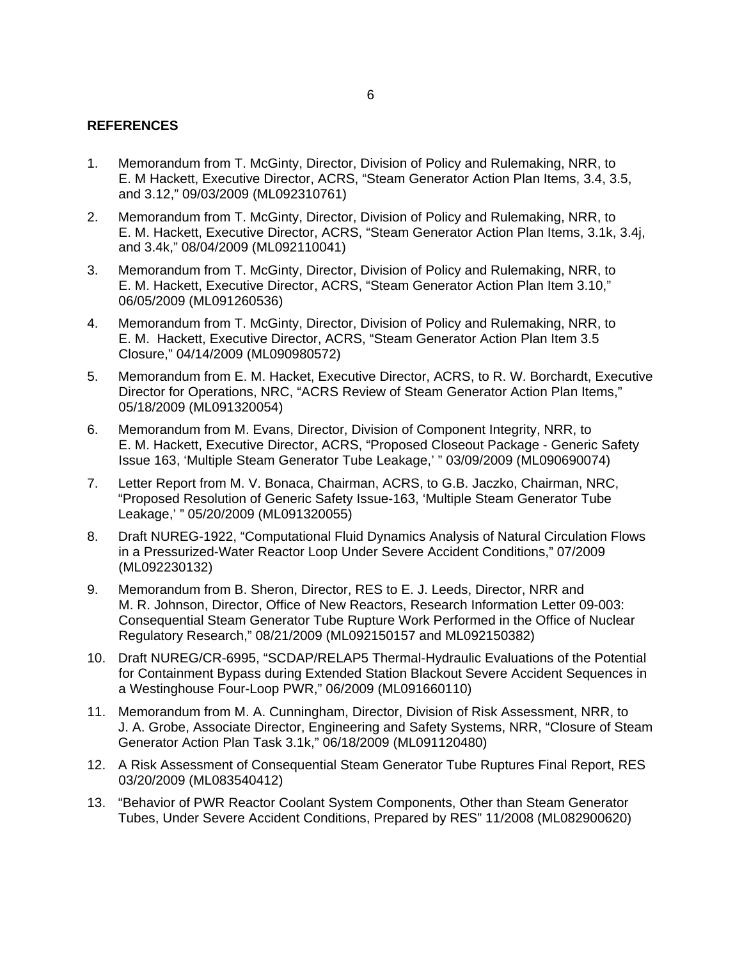## **REFERENCES**

- 1. Memorandum from T. McGinty, Director, Division of Policy and Rulemaking, NRR, to E. M Hackett, Executive Director, ACRS, "Steam Generator Action Plan Items, 3.4, 3.5, and 3.12," 09/03/2009 (ML092310761)
- 2. Memorandum from T. McGinty, Director, Division of Policy and Rulemaking, NRR, to E. M. Hackett, Executive Director, ACRS, "Steam Generator Action Plan Items, 3.1k, 3.4j, and 3.4k," 08/04/2009 (ML092110041)
- 3. Memorandum from T. McGinty, Director, Division of Policy and Rulemaking, NRR, to E. M. Hackett, Executive Director, ACRS, "Steam Generator Action Plan Item 3.10," 06/05/2009 (ML091260536)
- 4. Memorandum from T. McGinty, Director, Division of Policy and Rulemaking, NRR, to E. M. Hackett, Executive Director, ACRS, "Steam Generator Action Plan Item 3.5 Closure," 04/14/2009 (ML090980572)
- 5. Memorandum from E. M. Hacket, Executive Director, ACRS, to R. W. Borchardt, Executive Director for Operations, NRC, "ACRS Review of Steam Generator Action Plan Items," 05/18/2009 (ML091320054)
- 6. Memorandum from M. Evans, Director, Division of Component Integrity, NRR, to E. M. Hackett, Executive Director, ACRS, "Proposed Closeout Package - Generic Safety Issue 163, 'Multiple Steam Generator Tube Leakage,' " 03/09/2009 (ML090690074)
- 7. Letter Report from M. V. Bonaca, Chairman, ACRS, to G.B. Jaczko, Chairman, NRC, "Proposed Resolution of Generic Safety Issue-163, 'Multiple Steam Generator Tube Leakage,' " 05/20/2009 (ML091320055)
- 8. Draft NUREG-1922, "Computational Fluid Dynamics Analysis of Natural Circulation Flows in a Pressurized-Water Reactor Loop Under Severe Accident Conditions," 07/2009 (ML092230132)
- 9. Memorandum from B. Sheron, Director, RES to E. J. Leeds, Director, NRR and M. R. Johnson, Director, Office of New Reactors, Research Information Letter 09-003: Consequential Steam Generator Tube Rupture Work Performed in the Office of Nuclear Regulatory Research," 08/21/2009 (ML092150157 and ML092150382)
- 10. Draft NUREG/CR-6995, "SCDAP/RELAP5 Thermal-Hydraulic Evaluations of the Potential for Containment Bypass during Extended Station Blackout Severe Accident Sequences in a Westinghouse Four-Loop PWR," 06/2009 (ML091660110)
- 11. Memorandum from M. A. Cunningham, Director, Division of Risk Assessment, NRR, to J. A. Grobe, Associate Director, Engineering and Safety Systems, NRR, "Closure of Steam Generator Action Plan Task 3.1k," 06/18/2009 (ML091120480)
- 12. A Risk Assessment of Consequential Steam Generator Tube Ruptures Final Report, RES 03/20/2009 (ML083540412)
- 13. "Behavior of PWR Reactor Coolant System Components, Other than Steam Generator Tubes, Under Severe Accident Conditions, Prepared by RES" 11/2008 (ML082900620)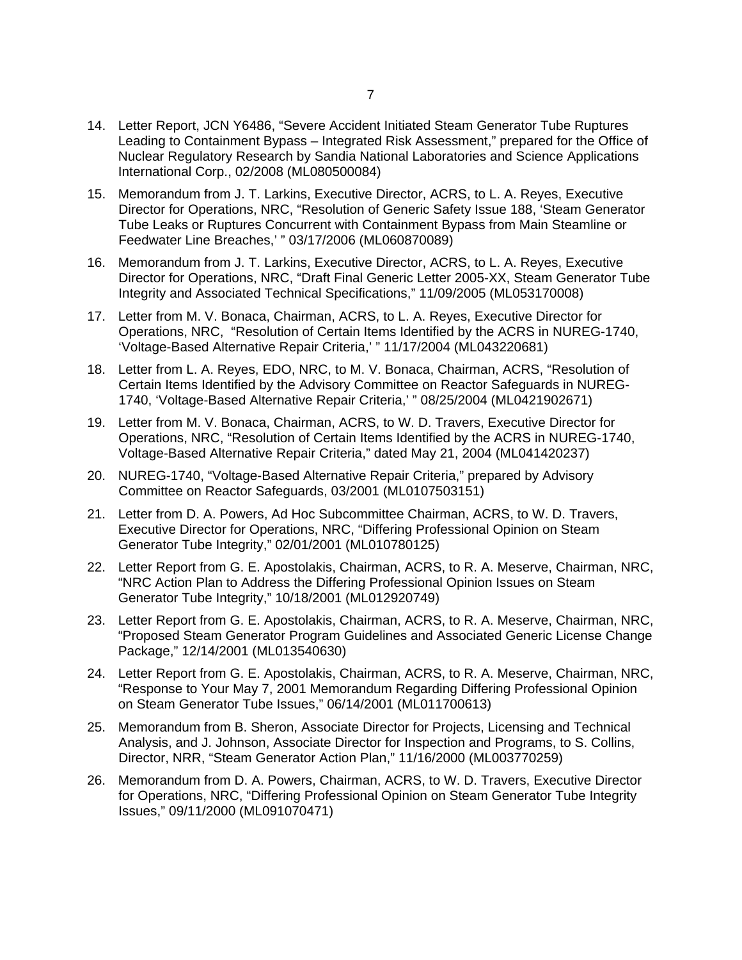- 14. Letter Report, JCN Y6486, "Severe Accident Initiated Steam Generator Tube Ruptures Leading to Containment Bypass – Integrated Risk Assessment," prepared for the Office of Nuclear Regulatory Research by Sandia National Laboratories and Science Applications International Corp., 02/2008 (ML080500084)
- 15. Memorandum from J. T. Larkins, Executive Director, ACRS, to L. A. Reyes, Executive Director for Operations, NRC, "Resolution of Generic Safety Issue 188, 'Steam Generator Tube Leaks or Ruptures Concurrent with Containment Bypass from Main Steamline or Feedwater Line Breaches,' " 03/17/2006 (ML060870089)
- 16. Memorandum from J. T. Larkins, Executive Director, ACRS, to L. A. Reyes, Executive Director for Operations, NRC, "Draft Final Generic Letter 2005-XX, Steam Generator Tube Integrity and Associated Technical Specifications," 11/09/2005 (ML053170008)
- 17. Letter from M. V. Bonaca, Chairman, ACRS, to L. A. Reyes, Executive Director for Operations, NRC, "Resolution of Certain Items Identified by the ACRS in NUREG-1740, 'Voltage-Based Alternative Repair Criteria,' " 11/17/2004 (ML043220681)
- 18. Letter from L. A. Reyes, EDO, NRC, to M. V. Bonaca, Chairman, ACRS, "Resolution of Certain Items Identified by the Advisory Committee on Reactor Safeguards in NUREG-1740, 'Voltage-Based Alternative Repair Criteria,' " 08/25/2004 (ML0421902671)
- 19. Letter from M. V. Bonaca, Chairman, ACRS, to W. D. Travers, Executive Director for Operations, NRC, "Resolution of Certain Items Identified by the ACRS in NUREG-1740, Voltage-Based Alternative Repair Criteria," dated May 21, 2004 (ML041420237)
- 20. NUREG-1740, "Voltage-Based Alternative Repair Criteria," prepared by Advisory Committee on Reactor Safeguards, 03/2001 (ML0107503151)
- 21. Letter from D. A. Powers, Ad Hoc Subcommittee Chairman, ACRS, to W. D. Travers, Executive Director for Operations, NRC, "Differing Professional Opinion on Steam Generator Tube Integrity," 02/01/2001 (ML010780125)
- 22. Letter Report from G. E. Apostolakis, Chairman, ACRS, to R. A. Meserve, Chairman, NRC, "NRC Action Plan to Address the Differing Professional Opinion Issues on Steam Generator Tube Integrity," 10/18/2001 (ML012920749)
- 23. Letter Report from G. E. Apostolakis, Chairman, ACRS, to R. A. Meserve, Chairman, NRC, "Proposed Steam Generator Program Guidelines and Associated Generic License Change Package," 12/14/2001 (ML013540630)
- 24. Letter Report from G. E. Apostolakis, Chairman, ACRS, to R. A. Meserve, Chairman, NRC, "Response to Your May 7, 2001 Memorandum Regarding Differing Professional Opinion on Steam Generator Tube Issues," 06/14/2001 (ML011700613)
- 25. Memorandum from B. Sheron, Associate Director for Projects, Licensing and Technical Analysis, and J. Johnson, Associate Director for Inspection and Programs, to S. Collins, Director, NRR, "Steam Generator Action Plan," 11/16/2000 (ML003770259)
- 26. Memorandum from D. A. Powers, Chairman, ACRS, to W. D. Travers, Executive Director for Operations, NRC, "Differing Professional Opinion on Steam Generator Tube Integrity Issues," 09/11/2000 (ML091070471)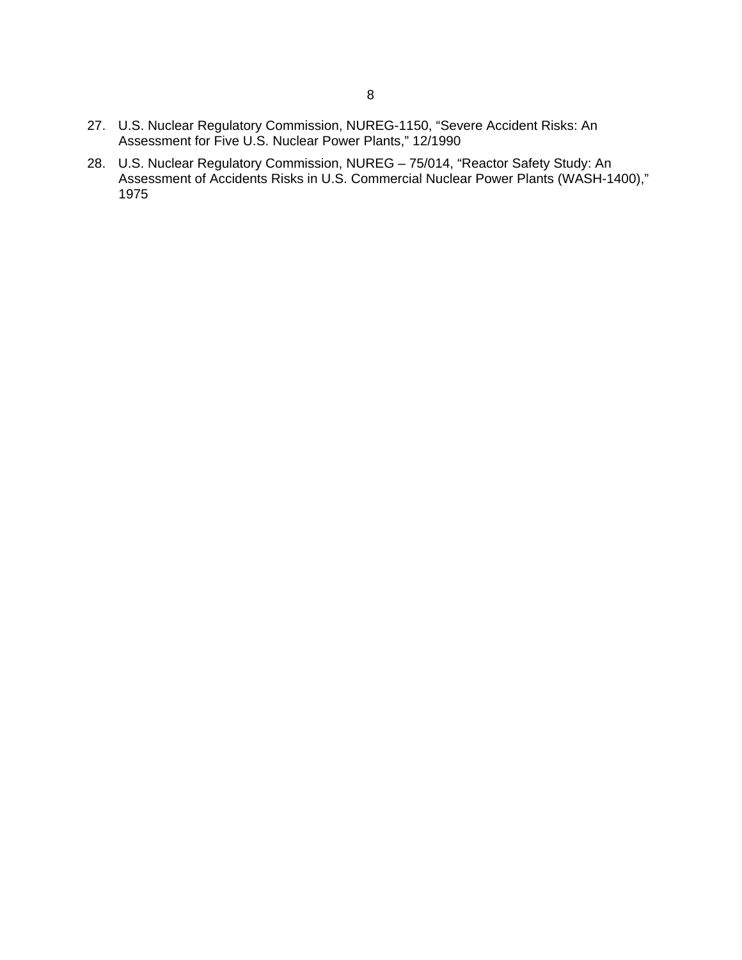- 27. U.S. Nuclear Regulatory Commission, NUREG-1150, "Severe Accident Risks: An Assessment for Five U.S. Nuclear Power Plants," 12/1990
- 28. U.S. Nuclear Regulatory Commission, NUREG 75/014, "Reactor Safety Study: An Assessment of Accidents Risks in U.S. Commercial Nuclear Power Plants (WASH-1400)," 1975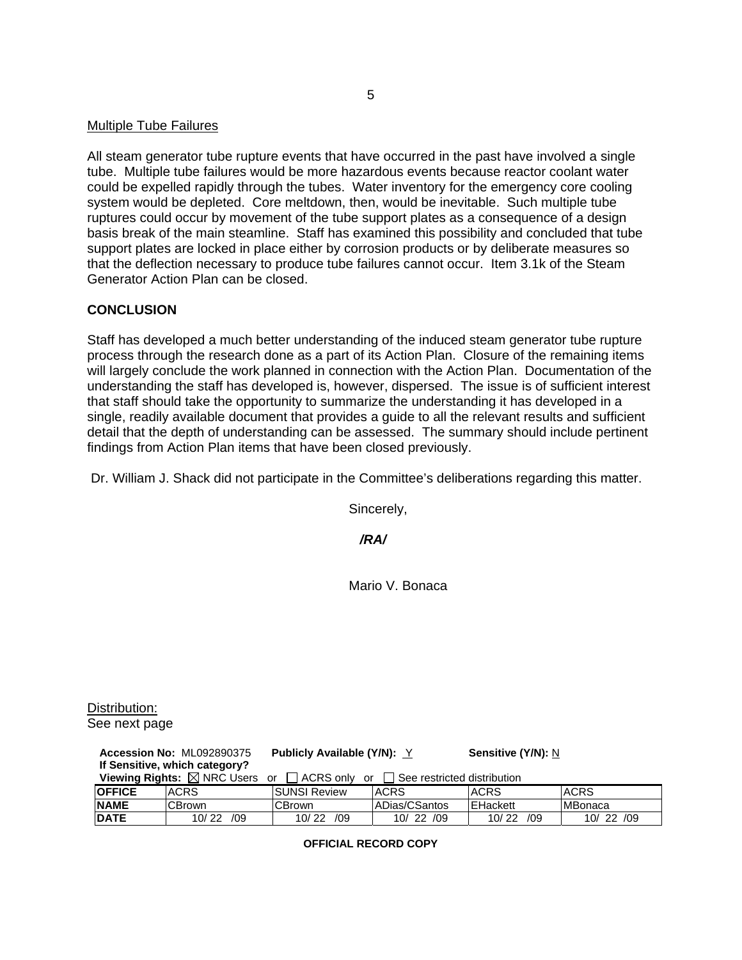#### Multiple Tube Failures

All steam generator tube rupture events that have occurred in the past have involved a single tube. Multiple tube failures would be more hazardous events because reactor coolant water could be expelled rapidly through the tubes. Water inventory for the emergency core cooling system would be depleted. Core meltdown, then, would be inevitable. Such multiple tube ruptures could occur by movement of the tube support plates as a consequence of a design basis break of the main steamline. Staff has examined this possibility and concluded that tube support plates are locked in place either by corrosion products or by deliberate measures so that the deflection necessary to produce tube failures cannot occur. Item 3.1k of the Steam Generator Action Plan can be closed.

#### **CONCLUSION**

Staff has developed a much better understanding of the induced steam generator tube rupture process through the research done as a part of its Action Plan. Closure of the remaining items will largely conclude the work planned in connection with the Action Plan. Documentation of the understanding the staff has developed is, however, dispersed. The issue is of sufficient interest that staff should take the opportunity to summarize the understanding it has developed in a single, readily available document that provides a guide to all the relevant results and sufficient detail that the depth of understanding can be assessed. The summary should include pertinent findings from Action Plan items that have been closed previously.

Dr. William J. Shack did not participate in the Committee's deliberations regarding this matter.

Sincerely,

*/RA/* 

Mario V. Bonaca

Distribution: See next page

| <b>Accession No: ML092890375</b>                                                                       |              | <b>Publicly Available (Y/N): Y</b> |               | <b>Sensitive (Y/N): N</b> |                |
|--------------------------------------------------------------------------------------------------------|--------------|------------------------------------|---------------|---------------------------|----------------|
| If Sensitive, which category?                                                                          |              |                                    |               |                           |                |
| <b>Viewing Rights:</b> $\boxtimes$ NRC Users or $\Box$ ACRS only or $\Box$ See restricted distribution |              |                                    |               |                           |                |
| <b>OFFICE</b>                                                                                          | <b>ACRS</b>  | <b>ISUNSI Review</b>               | <b>ACRS</b>   | <b>ACRS</b>               | <b>ACRS</b>    |
| <b>NAME</b>                                                                                            | ∣CBrown      | ∣CBrown                            | ADias/CSantos | EHackett                  | <b>MBonaca</b> |
| <b>DATE</b>                                                                                            | 10/22<br>/09 | 10/22 /09                          | 10/22 /09     | 10/22<br>/09              | 10/22 /09      |

**OFFICIAL RECORD COPY**